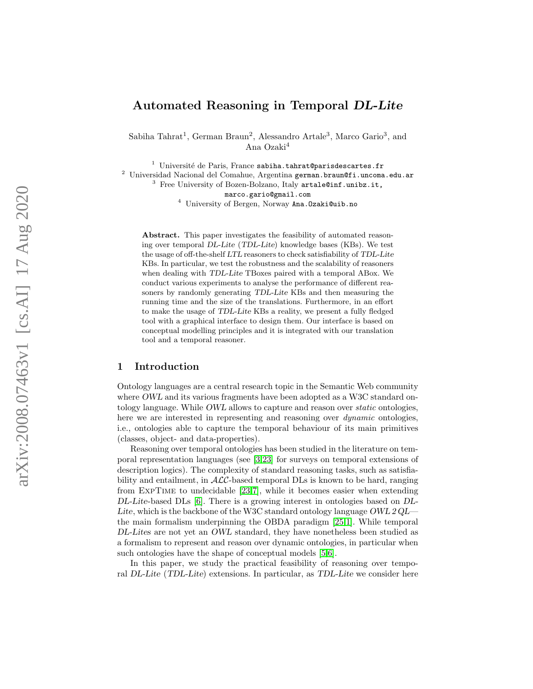# Automated Reasoning in Temporal DL-Lite

Sabiha Tahrat<sup>1</sup>, German Braun<sup>2</sup>, Alessandro Artale<sup>3</sup>, Marco Gario<sup>3</sup>, and Ana Ozaki 4

<sup>1</sup> Université de Paris, France sabiha.tahrat@parisdescartes.fr

<sup>2</sup> Universidad Nacional del Comahue, Argentina german.braun@fi.uncoma.edu.ar

<sup>3</sup> Free University of Bozen-Bolzano, Italy artale@inf.unibz.it,

marco.gario@gmail.com

<sup>4</sup> University of Bergen, Norway Ana.Ozaki@uib.no

Abstract. This paper investigates the feasibility of automated reasoning over temporal DL-Lite (TDL-Lite) knowledge bases (KBs). We test the usage of off-the-shelf LTL reasoners to check satisfiability of TDL-Lite KBs. In particular, we test the robustness and the scalability of reasoners when dealing with TDL-Lite TBoxes paired with a temporal ABox. We conduct various experiments to analyse the performance of different reasoners by randomly generating TDL-Lite KBs and then measuring the running time and the size of the translations. Furthermore, in an effort to make the usage of TDL-Lite KBs a reality, we present a fully fledged tool with a graphical interface to design them. Our interface is based on conceptual modelling principles and it is integrated with our translation tool and a temporal reasoner.

## <span id="page-0-0"></span>1 Introduction

Ontology languages are a central research topic in the Semantic Web community where OWL and its various fragments have been adopted as a W3C standard ontology language. While OWL allows to capture and reason over static ontologies, here we are interested in representing and reasoning over *dynamic* ontologies. i.e., ontologies able to capture the temporal behaviour of its main primitives (classes, object- and data-properties).

Reasoning over temporal ontologies has been studied in the literature on temporal representation languages (see [\[3,](#page-18-0)[23\]](#page-19-0) for surveys on temporal extensions of description logics). The complexity of standard reasoning tasks, such as satisfiability and entailment, in  $\mathcal{ALC}$ -based temporal DLs is known to be hard, ranging from ExpTime to undecidable [\[23](#page-19-0)[,7\]](#page-18-1), while it becomes easier when extending DL-Lite-based DLs [\[6\]](#page-18-2). There is a growing interest in ontologies based on DL-Lite, which is the backbone of the W3C standard ontology language OWL  $2 \text{QL}$  the main formalism underpinning the OBDA paradigm [\[25,](#page-19-1)[1\]](#page-18-3). While temporal DL-Lites are not yet an OWL standard, they have nonetheless been studied as a formalism to represent and reason over dynamic ontologies, in particular when such ontologies have the shape of conceptual models [\[5,](#page-18-4)[6\]](#page-18-2).

In this paper, we study the practical feasibility of reasoning over temporal DL-Lite (TDL-Lite) extensions. In particular, as TDL-Lite we consider here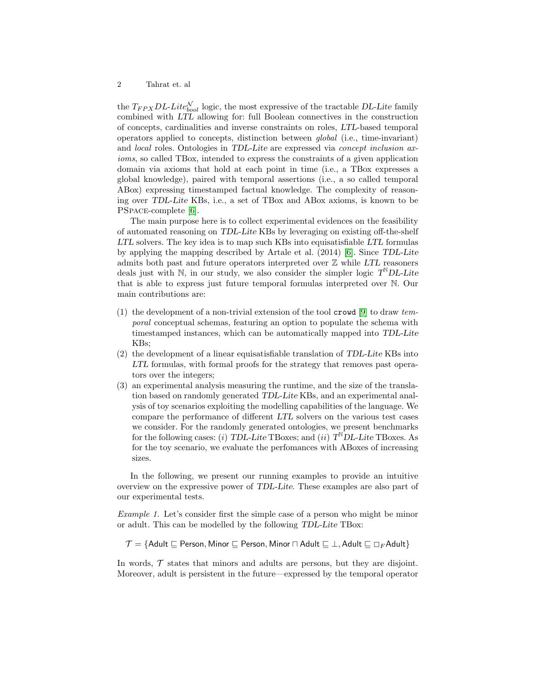the  $T_{FPX}DL\text{-}Like^{\mathcal{N}}_{bool}$  logic, the most expressive of the tractable DL-Lite family combined with LTL allowing for: full Boolean connectives in the construction of concepts, cardinalities and inverse constraints on roles, LTL-based temporal operators applied to concepts, distinction between global (i.e., time-invariant) and local roles. Ontologies in TDL-Lite are expressed via concept inclusion axioms, so called TBox, intended to express the constraints of a given application domain via axioms that hold at each point in time (i.e., a TBox expresses a global knowledge), paired with temporal assertions (i.e., a so called temporal ABox) expressing timestamped factual knowledge. The complexity of reasoning over TDL-Lite KBs, i.e., a set of TBox and ABox axioms, is known to be PSpace-complete [\[6\]](#page-18-2).

The main purpose here is to collect experimental evidences on the feasibility of automated reasoning on TDL-Lite KBs by leveraging on existing off-the-shelf LTL solvers. The key idea is to map such KBs into equisatisfiable LTL formulas by applying the mapping described by Artale et al. (2014) [\[6\]](#page-18-2). Since TDL-Lite admits both past and future operators interpreted over  $Z$  while  $LTL$  reasoners deals just with  $\mathbb N$ , in our study, we also consider the simpler logic  $T^{\mathbb N}DL$ -Lite that is able to express just future temporal formulas interpreted over N. Our main contributions are:

- (1) the development of a non-trivial extension of the tool crowd [\[9\]](#page-18-5) to draw temporal conceptual schemas, featuring an option to populate the schema with timestamped instances, which can be automatically mapped into TDL-Lite KBs;
- (2) the development of a linear equisatisfiable translation of TDL-Lite KBs into LTL formulas, with formal proofs for the strategy that removes past operators over the integers;
- (3) an experimental analysis measuring the runtime, and the size of the translation based on randomly generated TDL-Lite KBs, and an experimental analysis of toy scenarios exploiting the modelling capabilities of the language. We compare the performance of different LTL solvers on the various test cases we consider. For the randomly generated ontologies, we present benchmarks for the following cases: (i) TDL-Lite TBoxes; and (ii)  $T^{\aleph}$ DL-Lite TBoxes. As for the toy scenario, we evaluate the perfomances with ABoxes of increasing sizes.

<span id="page-1-0"></span>In the following, we present our running examples to provide an intuitive overview on the expressive power of TDL-Lite. These examples are also part of our experimental tests.

Example 1. Let's consider first the simple case of a person who might be minor or adult. This can be modelled by the following TDL-Lite TBox:

$$
\mathcal{T} = \{\text{Adult } \sqsubseteq \text{Person}, \text{Minor } \sqsubseteq \text{Person}, \text{Minor } \sqcap \text{Adult } \sqsubseteq \bot, \text{Adult } \sqsubseteq \sqcup_F \text{Adult}\}
$$

In words,  $\mathcal T$  states that minors and adults are persons, but they are disjoint. Moreover, adult is persistent in the future—expressed by the temporal operator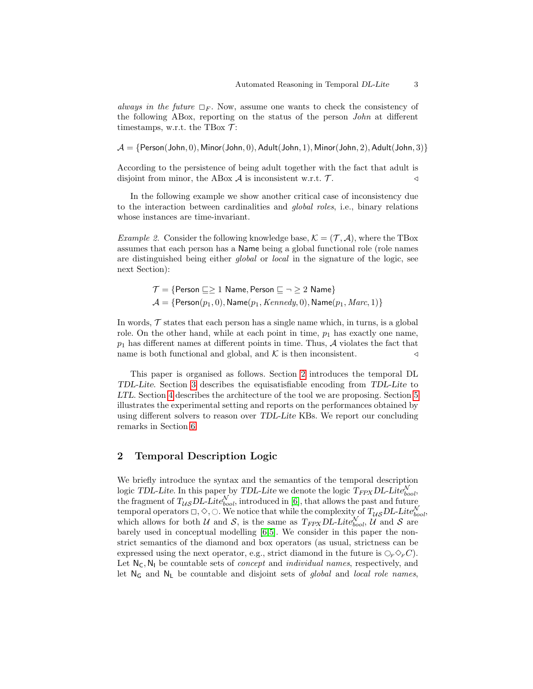always in the future  $\Box_F$ . Now, assume one wants to check the consistency of the following ABox, reporting on the status of the person John at different timestamps, w.r.t. the TBox  $\mathcal{T}$ :

 $\mathcal{A} = \{ \text{Person}(\text{John}, 0), \text{Minor}(\text{John}, 0), \text{ Adult}(\text{John}, 1), \text{Minor}(\text{John}, 2), \text{ Adult}(\text{John}, 3) \}$ 

According to the persistence of being adult together with the fact that adult is disjoint from minor, the ABox  $\mathcal A$  is inconsistent w.r.t.  $\mathcal T$ .

In the following example we show another critical case of inconsistency due to the interaction between cardinalities and global roles, i.e., binary relations whose instances are time-invariant.

<span id="page-2-1"></span>*Example 2.* Consider the following knowledge base,  $\mathcal{K} = (\mathcal{T}, \mathcal{A})$ , where the TBox assumes that each person has a Name being a global functional role (role names are distinguished being either global or local in the signature of the logic, see next Section):

> $\mathcal{T} = \{$ Person  $\sqsubseteq \geq 1$  Name, Person  $\sqsubseteq \neg \geq 2$  Name}  $\mathcal{A} = \{ \text{Person}(p_1, 0), \text{Name}(p_1, Kennedy, 0), \text{Name}(p_1, Marc, 1) \}$

In words,  $\mathcal T$  states that each person has a single name which, in turns, is a global role. On the other hand, while at each point in time,  $p_1$  has exactly one name,  $p_1$  has different names at different points in time. Thus,  $A$  violates the fact that name is both functional and global, and  $K$  is then inconsistent.

This paper is organised as follows. Section [2](#page-2-0) introduces the temporal DL TDL-Lite. Section [3](#page-4-0) describes the equisatisfiable encoding from TDL-Lite to LTL. Section [4](#page-9-0) describes the architecture of the tool we are proposing. Section [5](#page-12-0) illustrates the experimental setting and reports on the performances obtained by using different solvers to reason over TDL-Lite KBs. We report our concluding remarks in Section [6.](#page-17-0)

## <span id="page-2-0"></span>2 Temporal Description Logic

We briefly introduce the syntax and the semantics of the temporal description logic TDL-Lite. In this paper by TDL-Lite we denote the logic  $T_{FPX}$ DL-Lite $_{bool}^{\mathcal{N}},$ the fragment of  $T_{US}DL\text{-}Lite_{bool}^{\mathcal{N}}$ , introduced in [\[6\]](#page-18-2), that allows the past and future temporal operators  $\Box, \Diamond, \Diamond$ . We notice that while the complexity of  $T_{US}DL\text{-}Lite_{bool}^{\mathcal{N}},$ which allows for both U and S, is the same as  $T_{FPX} D L$ -Lite<sub>bool</sub>, U and S are barely used in conceptual modelling [\[6,](#page-18-2)[5\]](#page-18-4). We consider in this paper the nonstrict semantics of the diamond and box operators (as usual, strictness can be expressed using the next operator, e.g., strict diamond in the future is  $\mathcal{O}_F \mathcal{O}_F C$ . Let  $N_c$ ,  $N_1$  be countable sets of *concept* and *individual names*, respectively, and let  $N_G$  and  $N_L$  be countable and disjoint sets of global and local role names,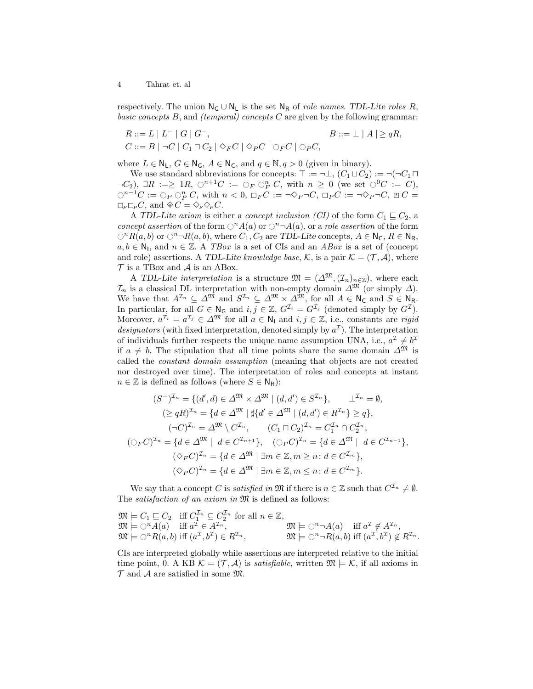respectively. The union  $N_G \cup N_L$  is the set  $N_R$  of *role names. TDL-Lite roles* R, basic concepts  $B$ , and *(temporal)* concepts  $C$  are given by the following grammar:

$$
R ::= L | L^- | G | G^-, \qquad B ::= \perp | A | \geq qR,
$$
  

$$
C ::= B | \neg C | C_1 \sqcap C_2 | \diamond_F C | \diamond_F C | \circ_F C | \circ_F C,
$$

where  $L \in \mathsf{N}_\mathsf{L}, G \in \mathsf{N}_\mathsf{G}, A \in \mathsf{N}_\mathsf{C}$ , and  $q \in \mathbb{N}, q > 0$  (given in binary).

We use standard abbreviations for concepts:  $\top := \neg \bot$ ,  $(C_1 \sqcup C_2) := \neg(\neg C_1 \sqcap$  $\neg C_2$ ,  $\exists R :=\geq 1R$ ,  $\bigcirc^{n+1}C := \bigcirc_F \bigcirc_F^n C$ , with  $n \geq 0$  (we set  $\bigcirc^0C := C$ ),  $\bigcirc^{n-1}C := \bigcirc_P \bigcirc^n_p C$ , with  $n < 0$ ,  $\Box_F C := \neg \Diamond_F \neg C$ ,  $\Box_P C := \neg \Diamond_P \neg C$ ,  $\mathbb{E} C =$  $\Box_F \Box_P C$ , and  $\otimes C = \Diamond_F \Diamond_P C$ .

A TDL-Lite axiom is either a concept inclusion (CI) of the form  $C_1 \sqsubseteq C_2$ , a concept assertion of the form  $\bigcirc^n A(a)$  or  $\bigcirc^n \neg A(a)$ , or a role assertion of the form  $\bigcirc^n R(a, b)$  or  $\bigcirc^n \neg R(a, b)$ , where  $C_1, C_2$  are TDL-Lite concepts,  $A \in N_C$ ,  $R \in N_R$ ,  $a, b \in \mathbb{N}_1$ , and  $n \in \mathbb{Z}$ . A TBox is a set of CIs and an ABox is a set of (concept and role) assertions. A TDL-Lite knowledge base, K, is a pair  $\mathcal{K} = (\mathcal{T}, \mathcal{A})$ , where  $\mathcal T$  is a TBox and  $\mathcal A$  is an ABox.

A TDL-Lite interpretation is a structure  $\mathfrak{M} = (\Delta^{\mathfrak{M}}, (\mathcal{I}_n)_{n \in \mathbb{Z}})$ , where each  $\mathcal{I}_n$  is a classical DL interpretation with non-empty domain  $\Delta^{\mathfrak{M}}$  (or simply  $\Delta$ ). We have that  $A^{\mathcal{I}_n} \subseteq \Delta^{\mathfrak{M}}$  and  $S^{\mathcal{I}_n} \subseteq \Delta^{\mathfrak{M}} \times \Delta^{\mathfrak{M}}$ , for all  $A \in \mathsf{N}_{\mathsf{C}}$  and  $S \in \mathsf{N}_{\mathsf{R}}$ . In particular, for all  $G \in \mathsf{N}_{\mathsf{G}}$  and  $i, j \in \mathbb{Z}$ ,  $G^{\mathcal{I}_i} = G^{\mathcal{I}_j}$  (denoted simply by  $G^{\mathcal{I}}$ ). Moreover,  $a^{\mathcal{I}_i} = a^{\mathcal{I}_j} \in \Delta^{\mathfrak{M}}$  for all  $a \in \mathsf{N}_1$  and  $i, j \in \mathbb{Z}$ , i.e., constants are rigid designators (with fixed interpretation, denoted simply by  $a^{\mathcal{I}}$ ). The interpretation of individuals further respects the unique name assumption UNA, i.e.,  $a^{\mathcal{I}} \neq b^{\mathcal{I}}$ if  $a \neq b$ . The stipulation that all time points share the same domain  $\Delta^{\mathfrak{M}}$  is called the constant domain assumption (meaning that objects are not created nor destroyed over time). The interpretation of roles and concepts at instant  $n \in \mathbb{Z}$  is defined as follows (where  $S \in \mathsf{N}_{\mathsf{R}}$ ):

$$
(S^{-})^{\mathcal{I}_{n}} = \{(d', d) \in \Delta^{\mathfrak{M}} \times \Delta^{\mathfrak{M}} \mid (d, d') \in S^{\mathcal{I}_{n}}\}, \qquad \perp^{\mathcal{I}_{n}} = \emptyset,
$$
  
\n
$$
(\geq qR)^{\mathcal{I}_{n}} = \{d \in \Delta^{\mathfrak{M}} \mid \sharp\{d' \in \Delta^{\mathfrak{M}} \mid (d, d') \in R^{\mathcal{I}_{n}}\} \geq q\},
$$
  
\n
$$
(\neg C)^{\mathcal{I}_{n}} = \Delta^{\mathfrak{M}} \setminus C^{\mathcal{I}_{n}}, \qquad (C_{1} \sqcap C_{2})^{\mathcal{I}_{n}} = C_{1}^{\mathcal{I}_{n}} \cap C_{2}^{\mathcal{I}_{n}},
$$
  
\n
$$
(\bigcirc_{F} C)^{\mathcal{I}_{n}} = \{d \in \Delta^{\mathfrak{M}} \mid d \in C^{\mathcal{I}_{n+1}}\}, \qquad (\bigcirc_{F} C)^{\mathcal{I}_{n}} = \{d \in \Delta^{\mathfrak{M}} \mid d \in C^{\mathcal{I}_{n-1}}\},
$$
  
\n
$$
(\bigcirc_{F} C)^{\mathcal{I}_{n}} = \{d \in \Delta^{\mathfrak{M}} \mid \exists m \in \mathbb{Z}, m \geq n : d \in C^{\mathcal{I}_{m}}\},
$$
  
\n
$$
(\bigcirc_{F} C)^{\mathcal{I}_{n}} = \{d \in \Delta^{\mathfrak{M}} \mid \exists m \in \mathbb{Z}, m \leq n : d \in C^{\mathcal{I}_{m}}\}.
$$

We say that a concept C is satisfied in  $\mathfrak{M}$  if there is  $n \in \mathbb{Z}$  such that  $C^{\mathcal{I}_n} \neq \emptyset$ . The *satisfaction of an axiom in*  $\mathfrak{M}$  is defined as follows:

$$
\mathfrak{M} \models C_1 \sqsubseteq C_2 \quad \text{iff } C_1^{\mathcal{I}_n} \subseteq C_2^{\mathcal{I}_n} \text{ for all } n \in \mathbb{Z},
$$
  
\n
$$
\mathfrak{M} \models \bigcirc^n A(a) \quad \text{iff } a^{\mathcal{I}} \in A^{\mathcal{I}_n}, \qquad \mathfrak{M} \models \bigcirc^n \neg A(a) \quad \text{iff } a^{\mathcal{I}} \notin A^{\mathcal{I}_n},
$$
  
\n
$$
\mathfrak{M} \models \bigcirc^n R(a, b) \text{ iff } (a^{\mathcal{I}}, b^{\mathcal{I}}) \in R^{\mathcal{I}_n}, \qquad \mathfrak{M} \models \bigcirc^n \neg R(a, b) \text{ iff } (a^{\mathcal{I}}, b^{\mathcal{I}}) \notin R^{\mathcal{I}_n}.
$$

CIs are interpreted globally while assertions are interpreted relative to the initial time point, 0. A KB  $\mathcal{K} = (\mathcal{T}, \mathcal{A})$  is *satisfiable*, written  $\mathfrak{M} \models \mathcal{K}$ , if all axioms in  $\mathcal T$  and  $\mathcal A$  are satisfied in some  $\mathfrak M$ .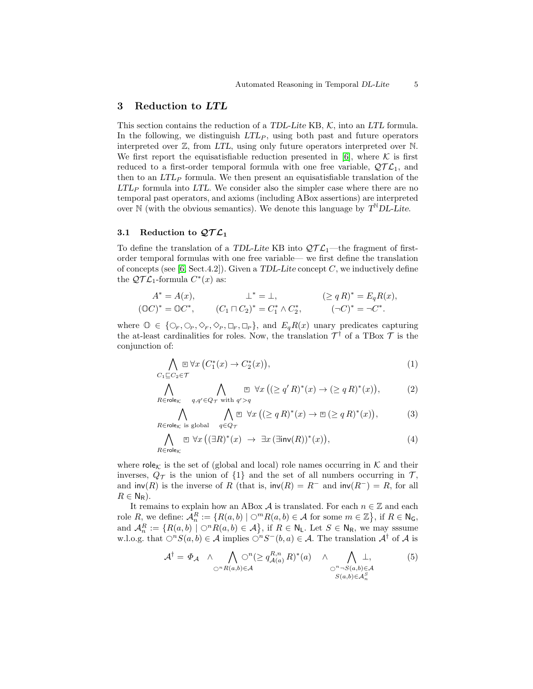## <span id="page-4-0"></span>3 Reduction to LTL

This section contains the reduction of a TDL-Lite KB,  $K$ , into an LTL formula. In the following, we distinguish  $LTL<sub>P</sub>$ , using both past and future operators interpreted over Z, from LTL, using only future operators interpreted over N. We first report the equisatisfiable reduction presented in [\[6\]](#page-18-2), where  $K$  is first reduced to a first-order temporal formula with one free variable,  $\mathcal{QTL}_1$ , and then to an  $LTL<sub>P</sub>$  formula. We then present an equisatisfiable translation of the  $LTL<sub>P</sub>$  formula into LTL. We consider also the simpler case where there are no temporal past operators, and axioms (including ABox assertions) are interpreted over  $\mathbb N$  (with the obvious semantics). We denote this language by  $T^{\mathbb N}DL\text{-}Lite$ .

## <span id="page-4-2"></span>3.1 Reduction to  $\mathcal{QTL}_1$

To define the translation of a TDL-Lite KB into  $\mathcal{QTL}_1$ —the fragment of firstorder temporal formulas with one free variable— we first define the translation of concepts (see [\[6,](#page-18-2) Sect.4.2]). Given a TDL-Lite concept  $C$ , we inductively define the  $\mathcal{QTL}_1$ -formula  $C^*(x)$  as:

$$
A^* = A(x), \qquad \perp^* = \perp, \qquad (\geq q R)^* = E_q R(x),
$$
  

$$
(\mathbb{O}C)^* = \mathbb{O}C^*, \qquad (C_1 \sqcap C_2)^* = C_1^* \wedge C_2^*, \qquad (\neg C)^* = \neg C^*.
$$

where  $\mathbb{O} \in \{ \mathcal{O}_F, \mathcal{O}_P, \mathcal{O}_F, \mathcal{O}_P, \mathcal{O}_F, \mathcal{O}_P \}$ , and  $E_q R(x)$  unary predicates capturing the at-least cardinalities for roles. Now, the translation  $\mathcal{T}^{\dagger}$  of a TBox  $\mathcal{T}$  is the conjunction of:

$$
\bigwedge_{C_1 \sqsubset C_2 \in \mathcal{T}} \forall x \left( C_1^*(x) \to C_2^*(x) \right), \tag{1}
$$

$$
\bigwedge_{R \in \text{role}_{\mathcal{K}}} \bigwedge_{q,q' \in Q_{\mathcal{T}}} \bigwedge_{\text{with } q' > q} \mathbb{E} \ \forall x \left( (\geq q' R)^*(x) \to (\geq q R)^*(x) \right), \tag{2}
$$

<span id="page-4-1"></span>
$$
\bigwedge_{R \in \text{role}_{\mathcal{K}} \text{ is global}} \bigwedge_{q \in Q_{\mathcal{T}}} \forall x \left( (\geq q R)^*(x) \to \mathbb{E} \left( \geq q R \right)^*(x) \right), \tag{3}
$$

$$
\bigwedge_{R \in \mathsf{role}_{\mathcal{K}}} \mathbb{E} \ \forall x \ \big( (\exists R)^*(x) \ \to \ \exists x \ (\exists \mathsf{inv}(R))^*(x) \big), \tag{4}
$$

where role<sub>K</sub> is the set of (global and local) role names occurring in K and their inverses,  $Q_{\mathcal{T}}$  is the union of  $\{1\}$  and the set of all numbers occurring in  $\mathcal{T}$ , and  $\text{inv}(R)$  is the inverse of R (that is,  $\text{inv}(R) = R^-$  and  $\text{inv}(R^-) = R$ , for all  $R \in N_R$ ).

It remains to explain how an ABox A is translated. For each  $n \in \mathbb{Z}$  and each role R, we define:  $\mathcal{A}_n^R := \{ R(a, b) \mid \bigcirc^m R(a, b) \in \mathcal{A} \text{ for some } m \in \mathbb{Z} \}, \text{ if } R \in \mathbb{N}_{\mathsf{G}},$ and  $\mathcal{A}_n^R := \{ R(a, b) \mid \bigcirc^n R(a, b) \in \mathcal{A} \}, \text{ if } R \in \mathbb{N}_L. \text{ Let } S \in \mathbb{N}_R, \text{ we may assume }$ w.l.o.g. that  $\bigcirc^n S(a, b) \in \mathcal{A}$  implies  $\bigcirc^n S^-(b, a) \in \mathcal{A}$ . The translation  $\mathcal{A}^{\dagger}$  of  $\mathcal{A}$  is

$$
\mathcal{A}^{\dagger} = \Phi_{\mathcal{A}} \quad \wedge \quad \bigwedge_{\bigcirc^{n} R(a,b) \in \mathcal{A}} \bigcirc^{n} (\geq q_{\mathcal{A}(a)}^{R,n} R)^{*}(a) \quad \wedge \quad \bigwedge_{\bigcirc^{n} \neg S(a,b) \in \mathcal{A}} \perp,
$$
\n
$$
\bigcirc^{n} \bigcirc^{n} S(a,b) \in \mathcal{A}^{S}_{n}
$$
\n
$$
(5)
$$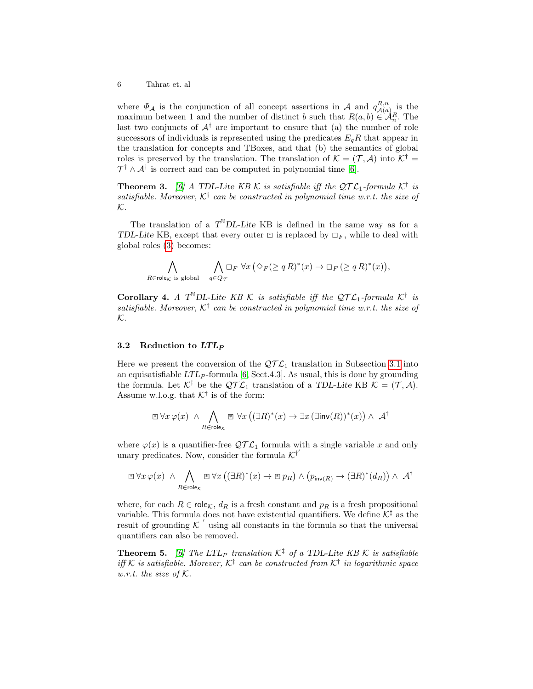where  $\Phi_{\mathcal{A}}$  is the conjunction of all concept assertions in  $\mathcal{A}$  and  $q_{A(a)}^{R,n}$  $\mathcal{A}_{\mathcal{A}(a)}^{R,n}$  is the maximun between 1 and the number of distinct b such that  $R(a, b) \in \mathcal{A}_n^R$ . The last two conjuncts of  $A^{\dagger}$  are important to ensure that (a) the number of role successors of individuals is represented using the predicates  $E_qR$  that appear in the translation for concepts and TBoxes, and that (b) the semantics of global roles is preserved by the translation. The translation of  $\mathcal{K} = (\mathcal{T}, \mathcal{A})$  into  $\mathcal{K}^{\dagger} =$  $\mathcal{T}^{\dagger} \wedge \mathcal{A}^{\dagger}$  is correct and can be computed in polynomial time [\[6\]](#page-18-2).

**Theorem 3.** [\[6\]](#page-18-2) A TDL-Lite KB K is satisfiable iff the  $QTL_1$ -formula K<sup>†</sup> is satisfiable. Moreover,  $K^{\dagger}$  can be constructed in polynomial time w.r.t. the size of  $K$ .

The translation of a  $T^{\mathbb{N}}DL$ -Lite KB is defined in the same way as for a TDL-Lite KB, except that every outer  $\mathbb{E}$  is replaced by  $\Box_F$ , while to deal with global roles [\(3\)](#page-4-1) becomes:

$$
\bigwedge_{R\in\text{role}_{\mathcal{K}}\text{ is global}}\quad \bigwedge_{q\in Q_{\mathcal{T}}}\Box_F\ \forall x\ \big(\Diamond_F(\geq q\,R)^*(x)\to\Box_F\ (\geq q\,R)^*(x)\big),
$$

Corollary 4. A T<sup>N</sup>DL-Lite KB  $K$  is satisfiable iff the  $\mathcal{QTL}_1$ -formula  $K^{\dagger}$  is satisfiable. Moreover,  $K^{\dagger}$  can be constructed in polynomial time w.r.t. the size of K.

## <span id="page-5-0"></span>3.2 Reduction to  $LTL_P$

Here we present the conversion of the  $\mathcal{QTL}_1$  translation in Subsection [3.1](#page-4-2) into an equisatisfiable  $LTL_P$ -formula [\[6,](#page-18-2) Sect.4.3]. As usual, this is done by grounding the formula. Let  $K^{\dagger}$  be the  $\mathcal{QTL}_1$  translation of a TDL-Lite KB  $\mathcal{K} = (\mathcal{T}, \mathcal{A})$ . Assume w.l.o.g. that  $K^{\dagger}$  is of the form:

$$
\text{Var}\,\forall x\,\varphi(x)\;\land\; \bigwedge_{R\in\mathsf{role}_\mathcal{K}}\text{Var}\left((\exists R)^*(x)\to\exists x\,(\exists\mathsf{inv}(R))^*(x)\right)\land\; \mathcal{A}^\dagger
$$

where  $\varphi(x)$  is a quantifier-free  $\mathcal{QTL}_1$  formula with a single variable x and only unary predicates. Now, consider the formula  $K^{\dagger'}$ 

$$
\text{E}\;\forall x\;\varphi(x)\;\land\; \bigwedge_{R\in\mathsf{role}_\mathcal{K}}\text{E}\;\forall x\left((\exists R)^*(x)\to\text{E}\;p_R\right)\land\left(p_{\mathsf{inv}(R)}\to (\exists R)^*(d_R)\right)\land\; \mathcal{A}^\dagger
$$

where, for each  $R \in \text{role}_{\mathcal{K}}$ ,  $d_R$  is a fresh constant and  $p_R$  is a fresh propositional variable. This formula does not have existential quantifiers. We define  $K^{\ddagger}$  as the result of grounding  $K^{\dagger'}$  using all constants in the formula so that the universal quantifiers can also be removed.

**Theorem 5.** [\[6\]](#page-18-2) The LTL<sub>P</sub> translation  $K^{\ddagger}$  of a TDL-Lite KB K is satisfiable iff K is satisfiable. Morever,  $K^{\ddagger}$  can be constructed from  $K^{\dagger}$  in logarithmic space w.r.t. the size of  $K$ .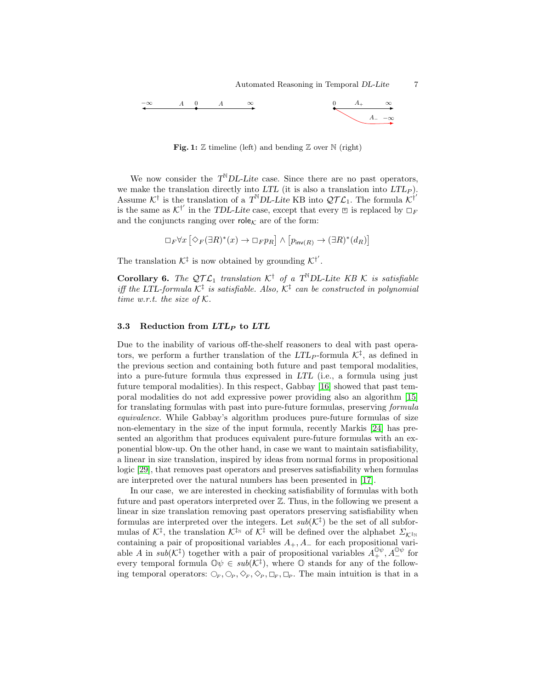<span id="page-6-0"></span>

Fig. 1:  $\mathbb Z$  timeline (left) and bending  $\mathbb Z$  over  $\mathbb N$  (right)

We now consider the  $T^{\mathbb{N}}DL$ -Lite case. Since there are no past operators, we make the translation directly into LTL (it is also a translation into  $LTL<sub>P</sub>$ ). Assume  $K^{\dagger}$  is the translation of a  $T^{N}DL$ -Lite KB into  $\mathcal{QTL}_1$ . The formula  $K^{\dagger'}$ is the same as  $\mathcal{K}^{\dagger'}$  in the TDL-Lite case, except that every  $\mathbb E$  is replaced by  $\Box_F$ and the conjuncts ranging over role<sub>K</sub> are of the form:

$$
\Box_F \forall x \left[ \Diamond_F (\exists R)^*(x) \to \Box_F p_R \right] \land \left[ p_{\mathsf{inv}(R)} \to (\exists R)^*(d_R) \right]
$$

The translation  $K^{\ddagger}$  is now obtained by grounding  $K^{\dagger'}$ .

**Corollary 6.** The  $QTL_1$  translation  $K^{\dagger}$  of a T<sup>N</sup>DL-Lite KB K is satisfiable iff the LTL-formula  $K^{\ddagger}$  is satisfiable. Also,  $K^{\ddagger}$  can be constructed in polynomial time w.r.t. the size of  $K$ .

### <span id="page-6-1"></span>3.3 Reduction from  $LTL<sub>P</sub>$  to  $LTL$

Due to the inability of various off-the-shelf reasoners to deal with past operators, we perform a further translation of the  $LTL_P$ -formula  $K^{\ddagger}$ , as defined in the previous section and containing both future and past temporal modalities, into a pure-future formula thus expressed in LTL (i.e., a formula using just future temporal modalities). In this respect, Gabbay [\[16\]](#page-19-2) showed that past temporal modalities do not add expressive power providing also an algorithm [\[15\]](#page-19-3) for translating formulas with past into pure-future formulas, preserving formula equivalence. While Gabbay's algorithm produces pure-future formulas of size non-elementary in the size of the input formula, recently Markis [\[24\]](#page-19-4) has presented an algorithm that produces equivalent pure-future formulas with an exponential blow-up. On the other hand, in case we want to maintain satisfiability, a linear in size translation, inspired by ideas from normal forms in propositional logic [\[29\]](#page-19-5), that removes past operators and preserves satisfiability when formulas are interpreted over the natural numbers has been presented in [\[17\]](#page-19-6).

In our case, we are interested in checking satisfiability of formulas with both future and past operators interpreted over Z. Thus, in the following we present a linear in size translation removing past operators preserving satisfiability when formulas are interpreted over the integers. Let  $sub(K^{\ddagger})$  be the set of all subformulas of  $K^{\ddagger}$ , the translation  $K^{\ddagger}$ <sup>N</sup> of  $K^{\ddagger}$  will be defined over the alphabet  $\Sigma_{K^{\ddagger}N}$ containing a pair of propositional variables  $A_+, A_-$  for each propositional variable A in  $sub(K^{\ddagger})$  together with a pair of propositional variables  $A_{+}^{\mathbb{O}\psi}$ ,  $A_{-}^{\mathbb{O}\psi}$  for every temporal formula  $\mathbb{O}\psi \in sub(\mathcal{K}^{\ddagger})$ , where  $\mathbb O$  stands for any of the following temporal operators:  $\bigcirc_F, \bigcirc_P, \bigcirc_F, \bigcirc_P, \bigcirc_F, \bigcirc_F$ . The main intuition is that in a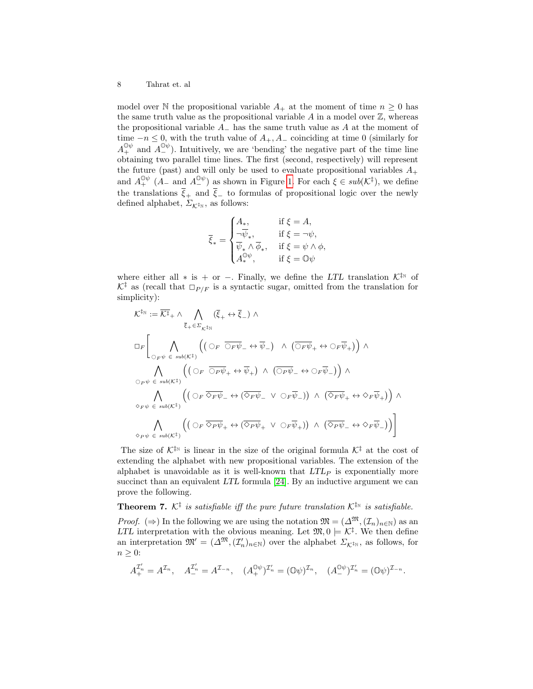model over N the propositional variable  $A_+$  at the moment of time  $n \geq 0$  has the same truth value as the propositional variable  $A$  in a model over  $\mathbb{Z}$ , whereas the propositional variable  $A_-\$  has the same truth value as  $A$  at the moment of time  $-n \leq 0$ , with the truth value of  $A_+, A_-$  coinciding at time 0 (similarly for  $A_+^{\mathbb{O}\psi}$  and  $A_-^{\mathbb{O}\psi}$ ). Intuitively, we are 'bending' the negative part of the time line obtaining two parallel time lines. The first (second, respectively) will represent the future (past) and will only be used to evaluate propositional variables  $A_{+}$ and  $A_+^{\mathbb{O}\psi}$  ( $A_-$  and  $A_-^{\mathbb{O}\psi}$ ) as shown in Figure [1.](#page-6-0) For each  $\xi \in sub(\mathcal{K}^{\ddagger})$ , we define the translations  $\overline{\xi}_+$  and  $\overline{\xi}_-$  to formulas of propositional logic over the newly defined alphabet,  $\varSigma_{\mathcal{K}^{\ddagger_{\mathbb{N}}}},$  as follows:

$$
\overline{\xi}_* = \begin{cases} A_*, & \text{if } \xi = A, \\ \neg \overline{\psi}_*, & \text{if } \xi = \neg \psi, \\ \overline{\psi}_* \wedge \overline{\phi}_*, & \text{if } \xi = \psi \wedge \phi, \\ A_*^{\oplus \psi}, & \text{if } \xi = \mathbb{O} \psi \end{cases}
$$

where either all  $*$  is + or −. Finally, we define the LTL translation  $K^{\ddagger_N}$  of  $\mathcal{K}^{\ddagger}$  as (recall that  $\Box_{P/F}$  is a syntactic sugar, omitted from the translation for simplicity):

$$
\mathcal{K}^{\dagger_{\mathbb{N}}} := \overline{\mathcal{K}}^{\dagger} + \wedge \bigwedge_{\overline{\xi}_{+} \in \Sigma_{\mathcal{K}}^{\dagger_{\mathbb{N}}}} (\overline{\xi}_{+} \leftrightarrow \overline{\xi}_{-}) \wedge
$$
\n
$$
\Box_{F} \Bigg[ \bigwedge_{\bigcirc_{F} \psi \in sub(\mathcal{K}^{\dagger})} \Big( \Big( \bigcirc_{F} \overline{\bigcirc_{F} \psi}_{-} \leftrightarrow \overline{\psi}_{-} \Big) \wedge \Big( \overline{\bigcirc_{F} \psi}_{+} \leftrightarrow \bigcirc_{F} \overline{\psi}_{+} \Big) \Big) \wedge
$$
\n
$$
\bigwedge_{\bigcirc_{F} \psi \in sub(\mathcal{K}^{\dagger})} \Big( \Big( \bigcirc_{F} \overline{\bigcirc_{F} \psi}_{+} \leftrightarrow \overline{\psi}_{+} \Big) \wedge \Big( \overline{\bigcirc_{F} \psi}_{-} \leftrightarrow \bigcirc_{F} \overline{\psi}_{-} \Big) \Big) \wedge
$$
\n
$$
\bigwedge_{\bigcirc_{F} \psi \in sub(\mathcal{K}^{\dagger})} \Big( \Big( \bigcirc_{F} \overline{\bigcirc_{F} \psi}_{-} \leftrightarrow \Big( \overline{\bigcirc_{F} \psi}_{-} \vee \bigcirc_{F} \overline{\psi}_{-} \Big) \Big) \wedge \Big( \overline{\bigcirc_{F} \psi}_{+} \leftrightarrow \bigcirc_{F} \overline{\psi}_{+} \Big) \Big) \wedge
$$
\n
$$
\bigwedge_{\bigcirc_{F} \psi \in sub(\mathcal{K}^{\dagger})} \Big( \Big( \bigcirc_{F} \overline{\bigcirc_{F} \psi}_{+} \leftrightarrow \Big( \overline{\bigcirc_{F} \psi}_{+} \vee \bigcirc_{F} \overline{\psi}_{+} \Big) \Big) \wedge \Big( \overline{\bigcirc_{F} \psi}_{-} \leftrightarrow \bigcirc_{F} \overline{\psi}_{-} \Big) \Big) \Bigg]
$$

The size of  $\mathcal{K}^{\ddagger_{\mathbb{N}}}$  is linear in the size of the original formula  $\mathcal{K}^{\ddagger}$  at the cost of extending the alphabet with new propositional variables. The extension of the alphabet is unavoidable as it is well-known that  $LTL<sub>P</sub>$  is exponentially more succinct than an equivalent LTL formula [\[24\]](#page-19-4). By an inductive argument we can prove the following.

## **Theorem 7.**  $K^{\ddagger}$  is satisfiable iff the pure future translation  $K^{\ddagger}$ <sup>N</sup> is satisfiable.

*Proof.* (⇒) In the following we are using the notation  $\mathfrak{M} = (\Delta^{\mathfrak{M}},(\mathcal{I}_n)_{n\in\mathbb{N}})$  as an LTL interpretation with the obvious meaning. Let  $\mathfrak{M}, 0 \models \mathcal{K}^{\ddagger}$ . We then define an interpretation  $\mathfrak{M}' = (\Delta^{\mathfrak{M}}, (\mathcal{I}'_n)_{n \in \mathbb{N}})$  over the alphabet  $\Sigma_{\mathcal{K}^{\ddagger} N}$ , as follows, for  $n \geq 0$ :

$$
A_+^{\mathcal{I}'_n}=A^{\mathcal{I}_n},\quad A_-^{\mathcal{I}'_n}=A^{\mathcal{I}_{-n}},\quad (A_+^{\mathbb{Q}\psi})^{\mathcal{I}'_n}=(\mathbb{Q}\psi)^{\mathcal{I}_n},\quad (A_-^{\mathbb{Q}\psi})^{\mathcal{I}'_n}=(\mathbb{Q}\psi)^{\mathcal{I}_{-n}}.
$$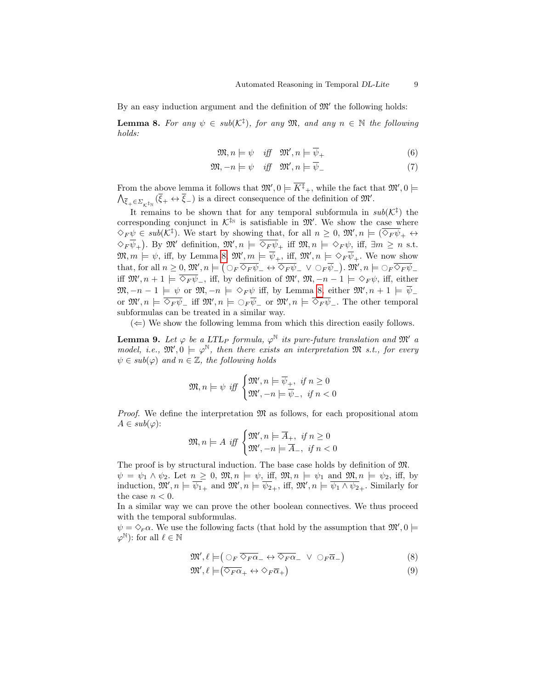By an easy induction argument and the definition of  $\mathfrak{M}'$  the following holds:

**Lemma 8.** For any  $\psi \in sub(\mathcal{K}^{\ddagger})$ , for any  $\mathfrak{M}$ , and any  $n \in \mathbb{N}$  the following holds:

<span id="page-8-0"></span>
$$
\mathfrak{M}, n \models \psi \quad \text{iff} \quad \mathfrak{M}', n \models \overline{\psi}_+ \tag{6}
$$

$$
\mathfrak{M}, -n \models \psi \quad \text{iff} \quad \mathfrak{M}', n \models \overline{\psi}_{-}
$$
 (7)

From the above lemma it follows that  $\mathfrak{M}'$ ,  $0 \models \overline{K^{\ddagger}}_{+}$ , while the fact that  $\mathfrak{M}'$ ,  $0 \models$  $\bigwedge_{\overline{\xi}_+ \in \Sigma_{\mathcal{K}^{\dagger_{\mathbb{N}}}}}\left(\overline{\xi}_+ \leftrightarrow \overline{\xi}_-\right)$  is a direct consequence of the definition of  $\mathfrak{M}'$ .

It remains to be shown that for any temporal subformula in  $sub(K^{\ddagger})$  the corresponding conjunct in  $K^{\ddagger_{\mathbb{N}}}$  is satisfiable in  $\mathfrak{M}'$ . We show the case where  $\Diamond_F \psi \in sub(\mathcal{K}^{\ddagger})$ . We start by showing that, for all  $n \geq 0$ ,  $\mathfrak{M}', n \models (\overline{\Diamond_F \psi}_+ \leftrightarrow \overline{\Diamond_F \psi}_+)$  $\Diamond_F \overline{\psi}_+$ ). By  $\mathfrak{M}'$  definition,  $\mathfrak{M}'$ ,  $n \models \overline{\Diamond_F \psi}_+$  iff  $\mathfrak{M}, n \models \Diamond_F \psi$  iff,  $\exists m \geq n$  s.t.  $\mathfrak{M}, m \models \psi$ , iff, by Lemma [8,](#page-8-0)  $\mathfrak{M}'$ ,  $m \models \overline{\psi}_+, \text{ iff, } \mathfrak{M}'$ ,  $n \models \Diamond_F \overline{\psi}_+.$  We now show that, for all  $n \geq 0$ ,  $\mathfrak{M}'$ ,  $n \models (\bigcirc_F \overline{\Diamond_F \psi} \rightarrow \overline{\Diamond_F \psi} \rightarrow \vee \bigcirc_F \overline{\psi} \rightarrow \mathfrak{M}'$ ,  $n \models \bigcirc_F \overline{\Diamond_F \psi} \rightarrow \mathfrak{M}'$ iff  $\mathfrak{M}', n+1 \models \overline{\Diamond_F \psi}_-,$  iff, by definition of  $\mathfrak{M}', \mathfrak{M}, -n-1 \models \Diamond_F \psi$ , iff, either  $\mathfrak{M}, -n-1 \models \psi$  or  $\mathfrak{M}, -n \models \Diamond_F \psi$  iff, by Lemma [8,](#page-8-0) either  $\mathfrak{M}', n+1 \models \overline{\psi}_$ or  $\mathfrak{M}'$ ,  $n \models \overline{\Diamond_F \psi}$  iff  $\mathfrak{M}'$ ,  $n \models \overline{\Diamond_F \psi}$  or  $\mathfrak{M}'$ ,  $n \models \overline{\Diamond_F \psi}$ . The other temporal subformulas can be treated in a similar way.

 $(\Leftarrow)$  We show the following lemma from which this direction easily follows.

**Lemma 9.** Let  $\varphi$  be a LTL<sub>P</sub> formula,  $\varphi^{\mathbb{N}}$  its pure-future translation and  $\mathfrak{M}'$  a model, i.e.,  $\mathfrak{M}', 0 \models \varphi^{\mathbb{N}}$ , then there exists an interpretation  $\mathfrak{M}$  s.t., for every  $\psi \in sub(\varphi)$  and  $n \in \mathbb{Z}$ , the following holds

$$
\mathfrak{M}, n \models \psi \text{ iff } \begin{cases} \mathfrak{M}', n \models \overline{\psi}_{+}, \text{ if } n \ge 0 \\ \mathfrak{M}', -n \models \overline{\psi}_{-}, \text{ if } n < 0 \end{cases}
$$

*Proof.* We define the interpretation  $\mathfrak{M}$  as follows, for each propositional atom  $A \in sub(\varphi)$ :

$$
\mathfrak{M}, n \models A \text{ iff } \begin{cases} \mathfrak{M}', n \models \overline{A}_+, \text{ if } n \ge 0 \\ \mathfrak{M}', -n \models \overline{A}_-, \text{ if } n < 0 \end{cases}
$$

The proof is by structural induction. The base case holds by definition of M.  $\psi = \psi_1 \wedge \psi_2$ . Let  $n \geq 0$ ,  $\mathfrak{M}, n \models \psi$ , iff,  $\mathfrak{M}, n \models \psi_1$  and  $\mathfrak{M}, n \models \psi_2$ , iff, by induction,  $\mathfrak{M}'$ ,  $n \models \overline{\psi_1}_+$  and  $\mathfrak{M}'$ ,  $n \models \overline{\psi_2}_+$ , iff,  $\mathfrak{M}'$ ,  $n \models \overline{\psi_1 \wedge \psi_2}_+$ . Similarly for the case  $n < 0$ .

In a similar way we can prove the other boolean connectives. We thus proceed with the temporal subformulas.

 $\psi = \Diamond_F \alpha$ . We use the following facts (that hold by the assumption that  $\mathfrak{M}', 0 \models$  $\varphi^{\mathbb{N}}$ : for all  $\ell \in \mathbb{N}$ 

<span id="page-8-2"></span><span id="page-8-1"></span>
$$
\mathfrak{M}', \ell \models (\bigcirc_F \overline{\Diamond_F \alpha} \_ \leftrightarrow \overline{\Diamond_F \alpha} \_ \ \lor \ \bigcirc_F \overline{\alpha} \_ )
$$
 (8)

$$
\mathfrak{M}', \ell \models (\overline{\diamondsuit_F \alpha}_+ \leftrightarrow \diamondsuit_F \overline{\alpha}_+) \tag{9}
$$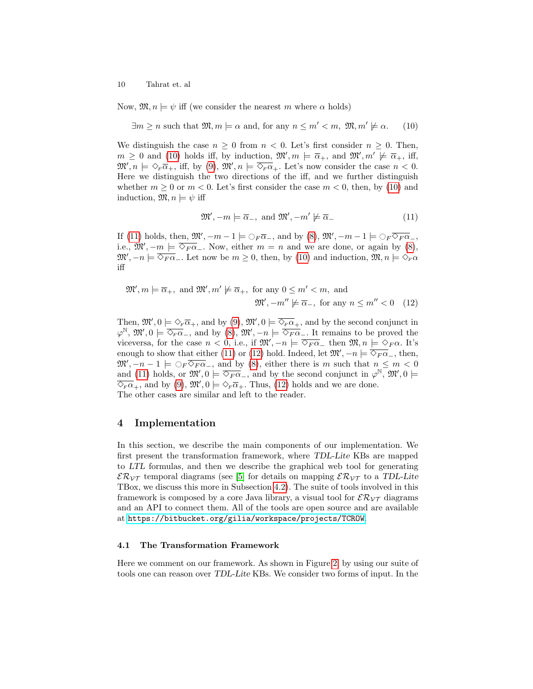Now,  $\mathfrak{M}, n \models \psi$  iff (we consider the nearest m where  $\alpha$  holds)

$$
\exists m \ge n \text{ such that } \mathfrak{M}, m \models \alpha \text{ and, for any } n \le m' < m, \mathfrak{M}, m' \not\models \alpha. \tag{10}
$$

We distinguish the case  $n \geq 0$  from  $n < 0$ . Let's first consider  $n \geq 0$ . Then,  $m \geq 0$  and [\(10\)](#page-9-1) holds iff, by induction,  $\mathfrak{M}', m \models \overline{\alpha}_+$ , and  $\mathfrak{M}', m' \not\models \overline{\alpha}_+$ , iff,  $\mathfrak{M}', n \models \Diamond_F \overline{\alpha}_+, \text{ iff, by (9), } \mathfrak{M}', n \models \overline{\Diamond_F \alpha}_+. \text{ Let's now consider the case } n < 0.$  $\mathfrak{M}', n \models \Diamond_F \overline{\alpha}_+, \text{ iff, by (9), } \mathfrak{M}', n \models \overline{\Diamond_F \alpha}_+. \text{ Let's now consider the case } n < 0.$  $\mathfrak{M}', n \models \Diamond_F \overline{\alpha}_+, \text{ iff, by (9), } \mathfrak{M}', n \models \overline{\Diamond_F \alpha}_+. \text{ Let's now consider the case } n < 0.$ Here we distinguish the two directions of the iff, and we further distinguish whether  $m \geq 0$  or  $m < 0$ . Let's first consider the case  $m < 0$ , then, by [\(10\)](#page-9-1) and induction,  $\mathfrak{M}, n \models \psi$  iff

<span id="page-9-3"></span><span id="page-9-2"></span><span id="page-9-1"></span>
$$
\mathfrak{M}', -m \models \overline{\alpha}_{-}, \text{ and } \mathfrak{M}', -m' \not\models \overline{\alpha}_{-}
$$
 (11)

If [\(11\)](#page-9-2) holds, then,  $\mathfrak{M}', -m-1 \models \bigcirc_F \overline{\alpha}_-$ , and by [\(8\)](#page-8-2),  $\mathfrak{M}', -m-1 \models \bigcirc_F \overline{\Diamond_F \alpha}_$ i.e.,  $\mathfrak{M}'$ ,  $-m \models \overline{\diamond_{F}\alpha}$ . Now, either  $m = n$  and we are done, or again by [\(8\)](#page-8-2),  $\mathfrak{M}'$ ,  $-n \models \overline{\Diamond_F \alpha}$ . Let now be  $m \geq 0$ , then, by [\(10\)](#page-9-1) and induction,  $\mathfrak{M}, n \models \Diamond_F \alpha$ iff

$$
\mathfrak{M}', m \models \overline{\alpha}_{+}, \text{ and } \mathfrak{M}', m' \not\models \overline{\alpha}_{+}, \text{ for any } 0 \leq m' < m, \text{ and}
$$

$$
\mathfrak{M}', -m'' \not\models \overline{\alpha}_{-}, \text{ for any } n \leq m'' < 0 \quad (12)
$$

Then,  $\mathfrak{M}'$ ,  $0 \models \Diamond_F \overline{\alpha}_+$ , and by  $(9)$ ,  $\mathfrak{M}'$ ,  $0 \models \overline{\Diamond_F \alpha}_+$ , and by the second conjunct in  $\varphi^{\mathbb{N}}, \mathfrak{M}', 0 \models \overline{\Diamond_F \alpha}_-,$  and by  $(8), \mathfrak{M}', -n \models \overline{\Diamond_F \alpha}_-.$  $(8), \mathfrak{M}', -n \models \overline{\Diamond_F \alpha}_-.$  It remains to be proved the viceversa, for the case  $n < 0$ , i.e., if  $\mathfrak{M}'$ ,  $-n \models \overline{\Diamond_F \alpha}$ , then  $\mathfrak{M}, n \models \Diamond_F \alpha$ . It's enough to show that either [\(11\)](#page-9-2) or [\(12\)](#page-9-3) hold. Indeed, let  $\mathfrak{M}', -n \models \overline{\Diamond_F \alpha}_-,$  then,  $\mathfrak{M}'$ ,  $-n-1 \models \bigcirc_F \overline{\Diamond_F \alpha}$ , and by [\(8\)](#page-8-2), either there is m such that  $n \leq m < 0$ and [\(11\)](#page-9-2) holds, or  $\mathfrak{M}', 0 \models \overline{\diamond_{F}\alpha}$ , and by the second conjunct in  $\varphi^{\mathbb{N}}, \mathfrak{M}', 0 \models$  $\overline{\diamondsuit_F \alpha}_+$ , and by [\(9\)](#page-8-1),  $\mathfrak{M}', 0 \models \diamond_F \overline{\alpha}_+$ . Thus, [\(12\)](#page-9-3) holds and we are done. The other cases are similar and left to the reader.

## <span id="page-9-0"></span>4 Implementation

In this section, we describe the main components of our implementation. We first present the transformation framework, where TDL-Lite KBs are mapped to LTL formulas, and then we describe the graphical web tool for generating  $\mathcal{ER}_{\mathcal{V}\mathcal{T}}$  temporal diagrams (see [\[5\]](#page-18-4) for details on mapping  $\mathcal{ER}_{\mathcal{V}\mathcal{T}}$  to a TDL-Lite TBox, we discuss this more in Subsection [4.2\)](#page-11-0). The suite of tools involved in this framework is composed by a core Java library, a visual tool for  $\mathcal{E} \mathcal{R}_{V\mathcal{T}}$  diagrams and an API to connect them. All of the tools are open source and are available at <https://bitbucket.org/gilia/workspace/projects/TCROW>.

### 4.1 The Transformation Framework

Here we comment on our framework. As shown in Figure [2,](#page-10-0) by using our suite of tools one can reason over TDL-Lite KBs. We consider two forms of input. In the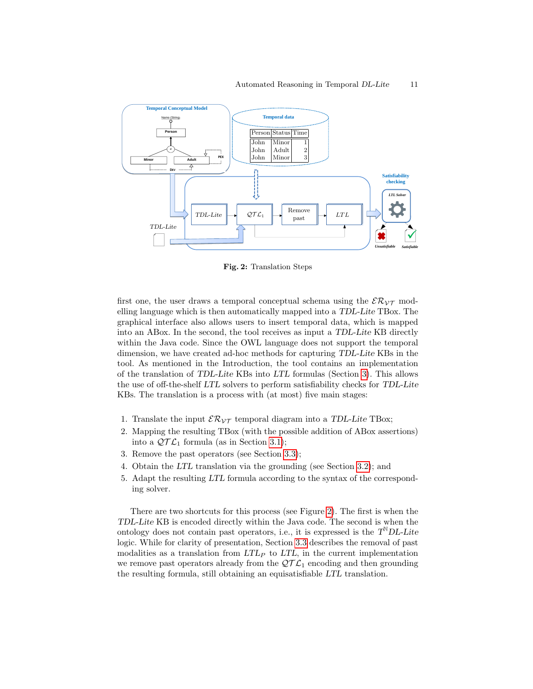<span id="page-10-0"></span>

Fig. 2: Translation Steps

first one, the user draws a temporal conceptual schema using the  $\mathcal{ER}_{V\mathcal{T}}$  modelling language which is then automatically mapped into a TDL-Lite TBox. The graphical interface also allows users to insert temporal data, which is mapped into an ABox. In the second, the tool receives as input a TDL-Lite KB directly within the Java code. Since the OWL language does not support the temporal dimension, we have created ad-hoc methods for capturing TDL-Lite KBs in the tool. As mentioned in the Introduction, the tool contains an implementation of the translation of TDL-Lite KBs into LTL formulas (Section [3\)](#page-4-0). This allows the use of off-the-shelf LTL solvers to perform satisfiability checks for TDL-Lite KBs. The translation is a process with (at most) five main stages:

- 1. Translate the input  $\mathcal{ER}_{\mathcal{V}\mathcal{T}}$  temporal diagram into a TDL-Lite TBox;
- 2. Mapping the resulting TBox (with the possible addition of ABox assertions) into a  $\mathcal{QTL}_1$  formula (as in Section [3.1\)](#page-4-2);
- 3. Remove the past operators (see Section [3.3\)](#page-6-1);
- 4. Obtain the LTL translation via the grounding (see Section [3.2\)](#page-5-0); and
- 5. Adapt the resulting LTL formula according to the syntax of the corresponding solver.

There are two shortcuts for this process (see Figure [2\)](#page-10-0). The first is when the TDL-Lite KB is encoded directly within the Java code. The second is when the ontology does not contain past operators, i.e., it is expressed is the  $T^{\mathbb{N}}DL$ -Lite logic. While for clarity of presentation, Section [3.3](#page-6-1) describes the removal of past modalities as a translation from  $LTL<sub>P</sub>$  to  $LTL$ , in the current implementation we remove past operators already from the  $\mathcal{QTL}_1$  encoding and then grounding the resulting formula, still obtaining an equisatisfiable LTL translation.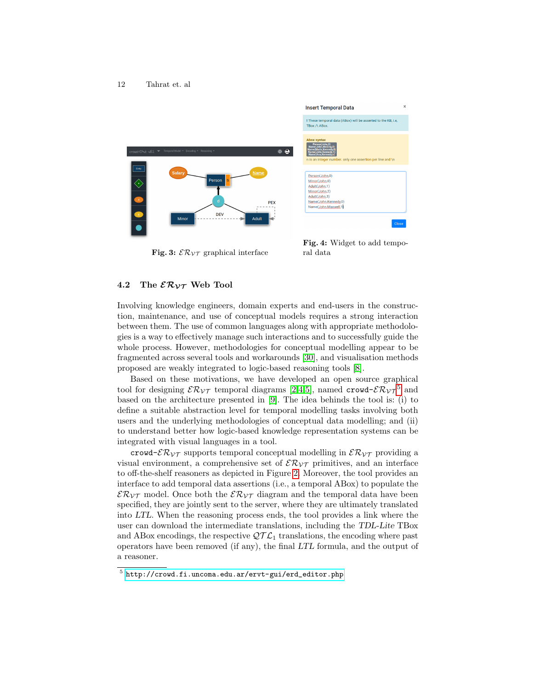<span id="page-11-2"></span>

Fig. 3:  $\mathcal{ER}_{\mathcal{VT}}$  graphical interface

Fig. 4: Widget to add temporal data

### <span id="page-11-0"></span>4.2 The  $\mathcal{ER}_{\mathcal{VT}}$  Web Tool

Involving knowledge engineers, domain experts and end-users in the construction, maintenance, and use of conceptual models requires a strong interaction between them. The use of common languages along with appropriate methodologies is a way to effectively manage such interactions and to successfully guide the whole process. However, methodologies for conceptual modelling appear to be fragmented across several tools and workarounds [\[30\]](#page-19-7), and visualisation methods proposed are weakly integrated to logic-based reasoning tools [\[8\]](#page-18-6).

Based on these motivations, we have developed an open source graphical tool for designing  $\mathcal{ER}_{\mathcal{VT}}$  temporal diagrams [\[2](#page-18-7)[,4,](#page-18-8)[5\]](#page-18-4), named crowd- $\mathcal{ER}_{\mathcal{VT}}{}^5$  $\mathcal{ER}_{\mathcal{VT}}{}^5$  and based on the architecture presented in [\[9\]](#page-18-5). The idea behinds the tool is: (i) to define a suitable abstraction level for temporal modelling tasks involving both users and the underlying methodologies of conceptual data modelling; and (ii) to understand better how logic-based knowledge representation systems can be integrated with visual languages in a tool.

crowd- $\mathcal{ER}_{\mathcal{V}\mathcal{T}}$  supports temporal conceptual modelling in  $\mathcal{ER}_{\mathcal{V}\mathcal{T}}$  providing a visual environment, a comprehensive set of  $\mathcal{ER}_{VT}$  primitives, and an interface to off-the-shelf reasoners as depicted in Figure [2.](#page-10-0) Moreover, the tool provides an interface to add temporal data assertions (i.e., a temporal ABox) to populate the  $\mathcal{ER}_{\mathcal{V}\mathcal{T}}$  model. Once both the  $\mathcal{ER}_{\mathcal{V}\mathcal{T}}$  diagram and the temporal data have been specified, they are jointly sent to the server, where they are ultimately translated into LTL. When the reasoning process ends, the tool provides a link where the user can download the intermediate translations, including the TDL-Lite TBox and ABox encodings, the respective  $\mathcal{QTL}_1$  translations, the encoding where past operators have been removed (if any), the final LTL formula, and the output of a reasoner.

<span id="page-11-1"></span> $^5$  [http://crowd.fi.uncoma.edu.ar/ervt-gui/erd\\_editor.php](http://crowd.fi.uncoma.edu.ar/ervt-gui/erd_editor.php)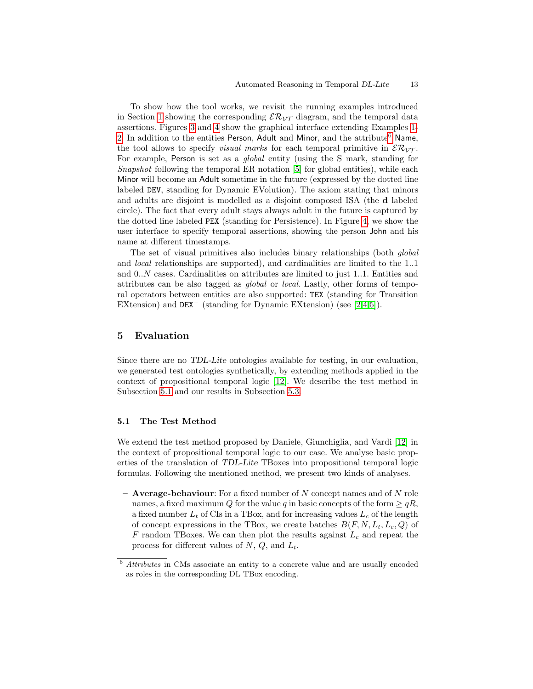To show how the tool works, we revisit the running examples introduced in Section [1](#page-1-0) showing the corresponding  $\mathcal{E} \mathcal{R}_{V\mathcal{T}}$  diagram, and the temporal data assertions. Figures [3](#page-11-2) and [4](#page-11-2) show the graphical interface extending Examples [1-](#page-1-0) [2.](#page-2-1) In addition to the entities Person, Adult and Minor, and the attribute<sup>[6](#page-12-1)</sup> Name, the tool allows to specify *visual marks* for each temporal primitive in  $\mathcal{E} \mathcal{R}_{V\mathcal{T}}$ . For example, Person is set as a *global* entity (using the S mark, standing for Snapshot following the temporal ER notation [\[5\]](#page-18-4) for global entities), while each Minor will become an Adult sometime in the future (expressed by the dotted line labeled DEV, standing for Dynamic EVolution). The axiom stating that minors and adults are disjoint is modelled as a disjoint composed ISA (the d labeled circle). The fact that every adult stays always adult in the future is captured by the dotted line labeled PEX (standing for Persistence). In Figure [4,](#page-11-2) we show the user interface to specify temporal assertions, showing the person John and his name at different timestamps.

The set of visual primitives also includes binary relationships (both global and local relationships are supported), and cardinalities are limited to the 1..1 and 0..N cases. Cardinalities on attributes are limited to just 1..1. Entities and attributes can be also tagged as global or local. Lastly, other forms of temporal operators between entities are also supported: TEX (standing for Transition EXtension) and DEX<sup>−</sup> (standing for Dynamic EXtension) (see [\[2](#page-18-7)[,4,](#page-18-8)[5\]](#page-18-4)).

## <span id="page-12-0"></span>5 Evaluation

Since there are no TDL-Lite ontologies available for testing, in our evaluation, we generated test ontologies synthetically, by extending methods applied in the context of propositional temporal logic [\[12\]](#page-18-9). We describe the test method in Subsection [5.1](#page-12-2) and our results in Subsection [5.3.](#page-14-0)

## <span id="page-12-2"></span>5.1 The Test Method

We extend the test method proposed by Daniele, Giunchiglia, and Vardi [\[12\]](#page-18-9) in the context of propositional temporal logic to our case. We analyse basic properties of the translation of TDL-Lite TBoxes into propositional temporal logic formulas. Following the mentioned method, we present two kinds of analyses.

 $-$  **Average-behaviour**: For a fixed number of N concept names and of N role names, a fixed maximum Q for the value q in basic concepts of the form  $\geq qR$ , a fixed number  $L_t$  of CIs in a TBox, and for increasing values  $L_c$  of the length of concept expressions in the TBox, we create batches  $B(F, N, L_t, L_c, Q)$  of F random TBoxes. We can then plot the results against  $L_c$  and repeat the process for different values of  $N$ ,  $Q$ , and  $L_t$ .

<span id="page-12-1"></span><sup>6</sup> Attributes in CMs associate an entity to a concrete value and are usually encoded as roles in the corresponding DL TBox encoding.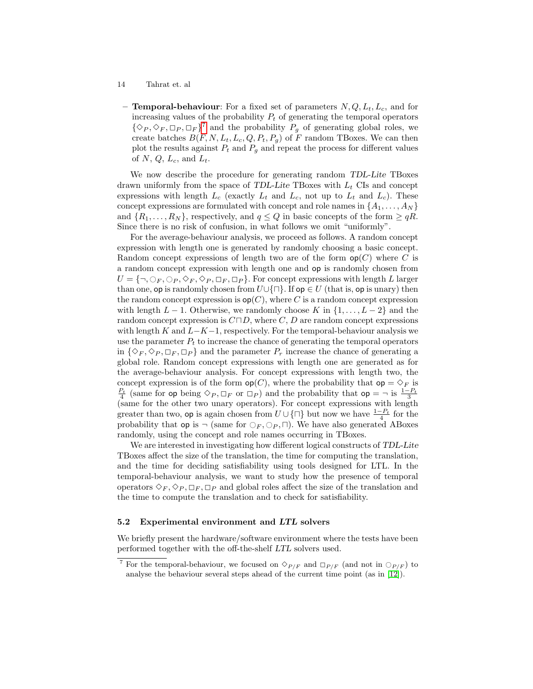– **Temporal-behaviour**: For a fixed set of parameters  $N, Q, L_t, L_c$ , and for increasing values of the probability  $P_t$  of generating the temporal operators  $\{\diamondsuit_P,\diamondsuit_F,\Box_P,\Box_F\}^7$  $\{\diamondsuit_P,\diamondsuit_F,\Box_P,\Box_F\}^7$  and the probability  $P_g$  of generating global roles, we create batches  $B(F, N, L_t, L_c, Q, P_t, P_g)$  of F random TBoxes. We can then plot the results against  $P_t$  and  $P_q$  and repeat the process for different values of  $N$ ,  $Q$ ,  $L_c$ , and  $L_t$ .

We now describe the procedure for generating random TDL-Lite TBoxes drawn uniformly from the space of TDL-Lite TBoxes with  $L_t$  CIs and concept expressions with length  $L_c$  (exactly  $L_t$  and  $L_c$ , not up to  $L_t$  and  $L_c$ ). These concept expressions are formulated with concept and role names in  $\{A_1, \ldots, A_N\}$ and  $\{R_1, \ldots, R_N\}$ , respectively, and  $q \leq Q$  in basic concepts of the form  $\geq qR$ . Since there is no risk of confusion, in what follows we omit "uniformly".

For the average-behaviour analysis, we proceed as follows. A random concept expression with length one is generated by randomly choosing a basic concept. Random concept expressions of length two are of the form  $op(C)$  where C is a random concept expression with length one and op is randomly chosen from  $U = \{\neg, \bigcirc_F, \bigcirc_P, \Diamond_F, \Diamond_P, \Box_F, \Box_P\}$ . For concept expressions with length L larger than one, op is randomly chosen from  $U\cup\{\sqcap\}$ . If op  $\in U$  (that is, op is unary) then the random concept expression is  $op(C)$ , where C is a random concept expression with length  $L-1$ . Otherwise, we randomly choose K in  $\{1,\ldots,L-2\}$  and the random concept expression is  $C \sqcap D$ , where C, D are random concept expressions with length K and  $L-K-1$ , respectively. For the temporal-behaviour analysis we use the parameter  $P_t$  to increase the chance of generating the temporal operators in  $\{\Diamond_F, \Diamond_P, \Box_F, \Box_P\}$  and the parameter  $P_r$  increase the chance of generating a global role. Random concept expressions with length one are generated as for the average-behaviour analysis. For concept expressions with length two, the concept expression is of the form  $op(C)$ , where the probability that  $op = \Diamond_F$  is  $\frac{P_t}{4}$  (same for op being  $\diamondsuit_P$ ,  $\Box_F$  or  $\Box_P$ ) and the probability that op =  $\neg$  is  $\frac{1-P_t}{3}$ (same for the other two unary operators). For concept expressions with length greater than two, op is again chosen from  $U \cup \{\Box\}$  but now we have  $\frac{1-P_t}{4}$  for the probability that op is  $\neg$  (same for  $\bigcirc_F, \bigcirc_P, \Box$ ). We have also generated ABoxes randomly, using the concept and role names occurring in TBoxes.

We are interested in investigating how different logical constructs of TDL-Lite TBoxes affect the size of the translation, the time for computing the translation, and the time for deciding satisfiability using tools designed for LTL. In the temporal-behaviour analysis, we want to study how the presence of temporal operators  $\Diamond_F$ ,  $\Diamond_P$ ,  $\Box_F$ ,  $\Box_P$  and global roles affect the size of the translation and the time to compute the translation and to check for satisfiability.

#### 5.2 Experimental environment and LTL solvers

We briefly present the hardware/software environment where the tests have been performed together with the off-the-shelf LTL solvers used.

<span id="page-13-0"></span><sup>&</sup>lt;sup>7</sup> For the temporal-behaviour, we focused on  $\Diamond_{P/F}$  and  $\Box_{P/F}$  (and not in  $\Diamond_{P/F}$ ) to analyse the behaviour several steps ahead of the current time point (as in [\[12\]](#page-18-9)).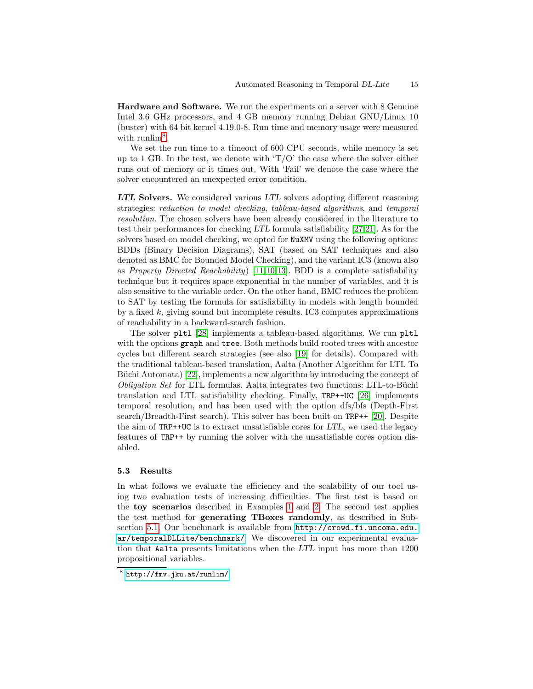Hardware and Software. We run the experiments on a server with 8 Genuine Intel 3.6 GHz processors, and 4 GB memory running Debian GNU/Linux 10 (buster) with 64 bit kernel 4.19.0-8. Run time and memory usage were measured with runlim<sup>[8](#page-14-1)</sup>.

We set the run time to a timeout of 600 CPU seconds, while memory is set up to 1 GB. In the test, we denote with  $T/O'$  the case where the solver either runs out of memory or it times out. With 'Fail' we denote the case where the solver encountered an unexpected error condition.

LTL Solvers. We considered various LTL solvers adopting different reasoning strategies: reduction to model checking, tableau-based algorithms, and temporal resolution. The chosen solvers have been already considered in the literature to test their performances for checking LTL formula satisfiability [\[27,](#page-19-8)[21\]](#page-19-9). As for the solvers based on model checking, we opted for NuXMV using the following options: BDDs (Binary Decision Diagrams), SAT (based on SAT techniques and also denoted as BMC for Bounded Model Checking), and the variant IC3 (known also as *Property Directed Reachability*) [\[11,](#page-18-10)[10,](#page-18-11)[13\]](#page-18-12). BDD is a complete satisfiability technique but it requires space exponential in the number of variables, and it is also sensitive to the variable order. On the other hand, BMC reduces the problem to SAT by testing the formula for satisfiability in models with length bounded by a fixed  $k$ , giving sound but incomplete results. IC3 computes approximations of reachability in a backward-search fashion.

The solver pltl [\[28\]](#page-19-10) implements a tableau-based algorithms. We run pltl with the options graph and tree. Both methods build rooted trees with ancestor cycles but different search strategies (see also [\[19\]](#page-19-11) for details). Compared with the traditional tableau-based translation, Aalta (Another Algorithm for LTL To Büchi Automata)  $[22]$ , implements a new algorithm by introducing the concept of *Obligation Set* for LTL formulas. Aalta integrates two functions: LTL-to-Büchi translation and LTL satisfiability checking. Finally, TRP++UC [\[26\]](#page-19-13) implements temporal resolution, and has been used with the option dfs/bfs (Depth-First search/Breadth-First search). This solver has been built on TRP++ [\[20\]](#page-19-14). Despite the aim of TRP++UC is to extract unsatisfiable cores for LTL, we used the legacy features of TRP++ by running the solver with the unsatisfiable cores option disabled.

### <span id="page-14-0"></span>5.3 Results

In what follows we evaluate the efficiency and the scalability of our tool using two evaluation tests of increasing difficulties. The first test is based on the toy scenarios described in Examples [1](#page-1-0) and [2.](#page-2-1) The second test applies the test method for generating TBoxes randomly, as described in Subsection [5.1.](#page-12-2) Our benchmark is available from [http://crowd.fi.uncoma.edu.](http://crowd.fi.uncoma.edu.ar/temporalDLLite/benchmark/) [ar/temporalDLLite/benchmark/](http://crowd.fi.uncoma.edu.ar/temporalDLLite/benchmark/). We discovered in our experimental evaluation that Aalta presents limitations when the LTL input has more than 1200 propositional variables.

<span id="page-14-1"></span><sup>8</sup> <http://fmv.jku.at/runlim/>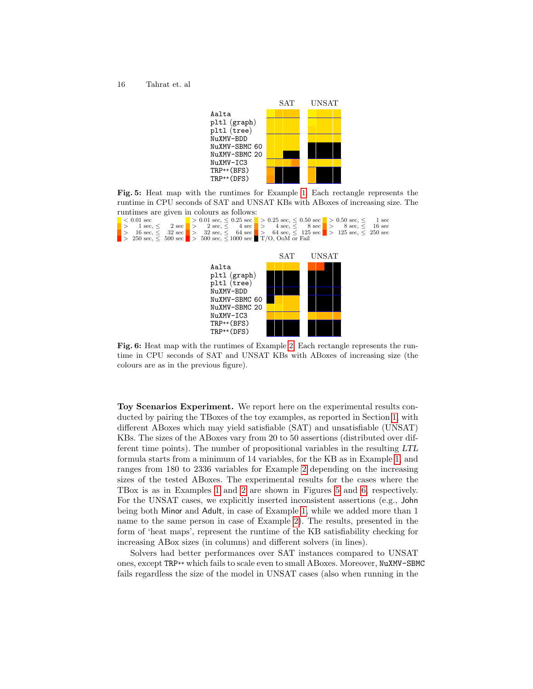<span id="page-15-0"></span>

Fig. 5: Heat map with the runtimes for Example [1.](#page-1-0) Each rectangle represents the runtime in CPU seconds of SAT and UNSAT KBs with ABoxes of increasing size. The

<span id="page-15-1"></span>



Fig. 6: Heat map with the runtimes of Example [2.](#page-2-1) Each rectangle represents the runtime in CPU seconds of SAT and UNSAT KBs with ABoxes of increasing size (the colours are as in the previous figure).

Toy Scenarios Experiment. We report here on the experimental results conducted by pairing the TBoxes of the toy examples, as reported in Section [1,](#page-0-0) with different ABoxes which may yield satisfiable (SAT) and unsatisfiable (UNSAT) KBs. The sizes of the ABoxes vary from 20 to 50 assertions (distributed over different time points). The number of propositional variables in the resulting LTL formula starts from a minimum of 14 variables, for the KB as in Example [1,](#page-1-0) and ranges from 180 to 2336 variables for Example [2](#page-2-1) depending on the increasing sizes of the tested ABoxes. The experimental results for the cases where the TBox is as in Examples [1](#page-1-0) and [2](#page-2-1) are shown in Figures [5](#page-15-0) and [6,](#page-15-1) respectively. For the UNSAT cases, we explicitly inserted inconsistent assertions (e.g., John being both Minor and Adult, in case of Example [1,](#page-1-0) while we added more than 1 name to the same person in case of Example [2\)](#page-2-1). The results, presented in the form of 'heat maps', represent the runtime of the KB satisfiability checking for increasing ABox sizes (in columns) and different solvers (in lines).

Solvers had better performances over SAT instances compared to UNSAT ones, except TRP++ which fails to scale even to small ABoxes. Moreover, NuXMV-SBMC fails regardless the size of the model in UNSAT cases (also when running in the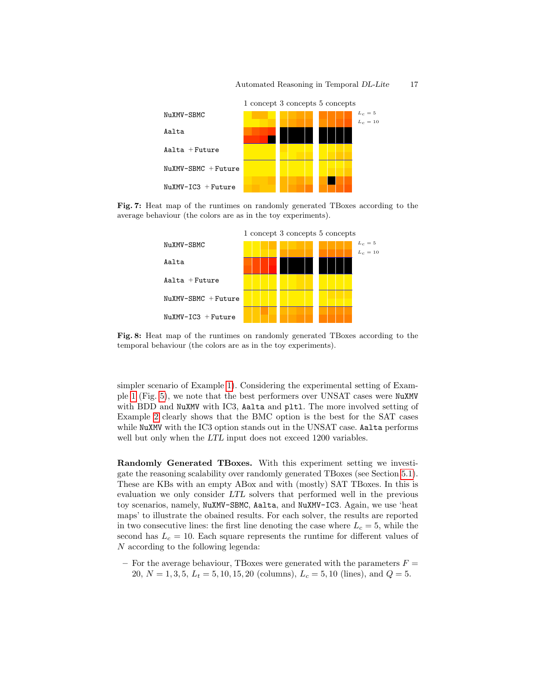<span id="page-16-0"></span>

<span id="page-16-1"></span>Fig. 7: Heat map of the runtimes on randomly generated TBoxes according to the average behaviour (the colors are as in the toy experiments).



Fig. 8: Heat map of the runtimes on randomly generated TBoxes according to the temporal behaviour (the colors are as in the toy experiments).

simpler scenario of Example [1\)](#page-1-0). Considering the experimental setting of Example [1](#page-1-0) (Fig. [5\)](#page-15-0), we note that the best performers over UNSAT cases were NuXMV with BDD and NuXMV with IC3, Aalta and pltl. The more involved setting of Example [2](#page-2-1) clearly shows that the BMC option is the best for the SAT cases while NuXMV with the IC3 option stands out in the UNSAT case. Aalta performs well but only when the LTL input does not exceed 1200 variables.

Randomly Generated TBoxes. With this experiment setting we investigate the reasoning scalability over randomly generated TBoxes (see Section [5.1\)](#page-12-2). These are KBs with an empty ABox and with (mostly) SAT TBoxes. In this is evaluation we only consider LTL solvers that performed well in the previous toy scenarios, namely, NuXMV-SBMC, Aalta, and NuXMV-IC3. Again, we use 'heat maps' to illustrate the obained results. For each solver, the results are reported in two consecutive lines: the first line denoting the case where  $L_c = 5$ , while the second has  $L_c = 10$ . Each square represents the runtime for different values of N according to the following legenda:

– For the average behaviour, TBoxes were generated with the parameters  $F =$ 20,  $N = 1, 3, 5, L_t = 5, 10, 15, 20$  (columns),  $L_c = 5, 10$  (lines), and  $Q = 5$ .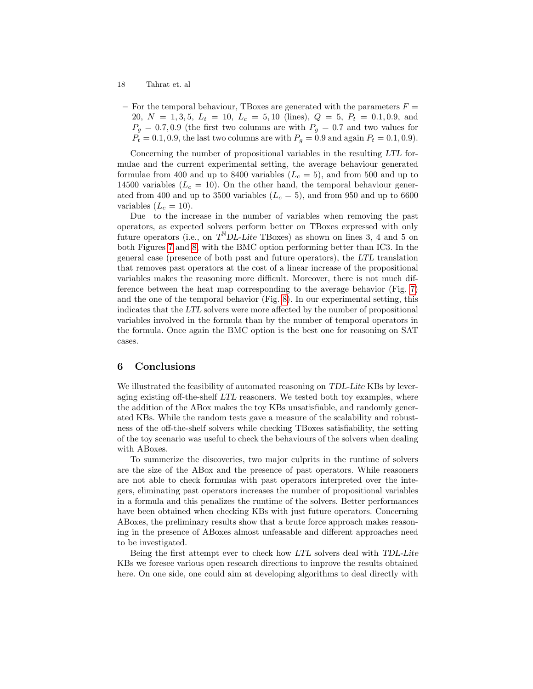– For the temporal behaviour, TBoxes are generated with the parameters  $F =$ 20,  $N = 1, 3, 5, L_t = 10, L_c = 5, 10$  (lines),  $Q = 5, P_t = 0.1, 0.9,$  and  $P_g = 0.7, 0.9$  (the first two columns are with  $P_g = 0.7$  and two values for  $P_t = 0.1, 0.9$ , the last two columns are with  $P_g = 0.9$  and again  $P_t = 0.1, 0.9$ ).

Concerning the number of propositional variables in the resulting LTL formulae and the current experimental setting, the average behaviour generated formulae from 400 and up to 8400 variables  $(L<sub>c</sub> = 5)$ , and from 500 and up to 14500 variables  $(L<sub>c</sub> = 10)$ . On the other hand, the temporal behaviour generated from 400 and up to 3500 variables  $(L<sub>c</sub> = 5)$ , and from 950 and up to 6600 variables  $(L_c = 10)$ .

Due to the increase in the number of variables when removing the past operators, as expected solvers perform better on TBoxes expressed with only future operators (i.e., on  $T^{\mathbb{N}}DL$ -Lite TBoxes) as shown on lines 3, 4 and 5 on both Figures [7](#page-16-0) and [8,](#page-16-1) with the BMC option performing better than IC3. In the general case (presence of both past and future operators), the LTL translation that removes past operators at the cost of a linear increase of the propositional variables makes the reasoning more difficult. Moreover, there is not much difference between the heat map corresponding to the average behavior (Fig. [7\)](#page-16-0) and the one of the temporal behavior (Fig. [8\)](#page-16-1). In our experimental setting, this indicates that the LTL solvers were more affected by the number of propositional variables involved in the formula than by the number of temporal operators in the formula. Once again the BMC option is the best one for reasoning on SAT cases.

## <span id="page-17-0"></span>6 Conclusions

We illustrated the feasibility of automated reasoning on TDL-Lite KBs by leveraging existing off-the-shelf LTL reasoners. We tested both toy examples, where the addition of the ABox makes the toy KBs unsatisfiable, and randomly generated KBs. While the random tests gave a measure of the scalability and robustness of the off-the-shelf solvers while checking TBoxes satisfiability, the setting of the toy scenario was useful to check the behaviours of the solvers when dealing with ABoxes.

To summerize the discoveries, two major culprits in the runtime of solvers are the size of the ABox and the presence of past operators. While reasoners are not able to check formulas with past operators interpreted over the integers, eliminating past operators increases the number of propositional variables in a formula and this penalizes the runtime of the solvers. Better performances have been obtained when checking KBs with just future operators. Concerning ABoxes, the preliminary results show that a brute force approach makes reasoning in the presence of ABoxes almost unfeasable and different approaches need to be investigated.

Being the first attempt ever to check how LTL solvers deal with TDL-Lite KBs we foresee various open research directions to improve the results obtained here. On one side, one could aim at developing algorithms to deal directly with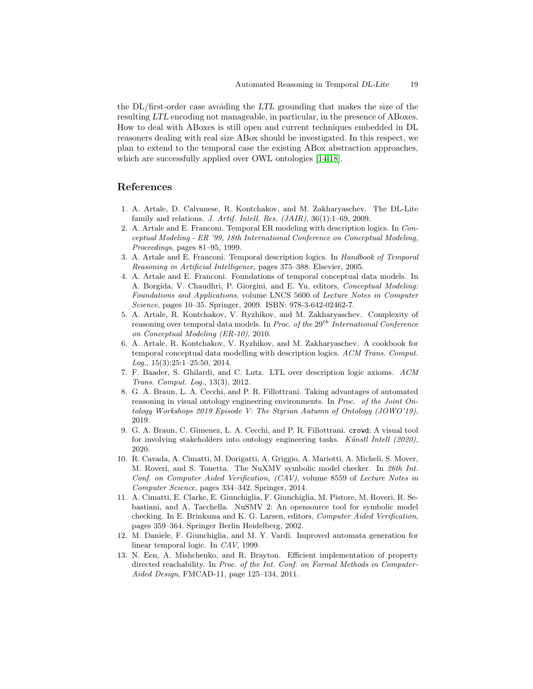the DL/first-order case avoiding the LTL grounding that makes the size of the resulting LTL encoding not manageable, in particular, in the presence of ABoxes. How to deal with ABoxes is still open and current techniques embedded in DL reasoners dealing with real size ABox should be investigated. In this respect, we plan to extend to the temporal case the existing ABox abstraction approaches, which are successfully applied over OWL ontologies [\[14,](#page-19-15)[18\]](#page-19-16).

## References

- <span id="page-18-3"></span>1. A. Artale, D. Calvanese, R. Kontchakov, and M. Zakharyaschev. The DL-Lite family and relations. J. Artif. Intell. Res.  $(JAIR)$ ,  $36(1):1-69$ , 2009.
- <span id="page-18-7"></span>2. A. Artale and E. Franconi. Temporal ER modeling with description logics. In Conceptual Modeling - ER '99, 18th International Conference on Conceptual Modeling, Proceedings, pages 81–95, 1999.
- <span id="page-18-0"></span>3. A. Artale and E. Franconi. Temporal description logics. In Handbook of Temporal Reasoning in Artificial Intelligence, pages 375–388. Elsevier, 2005.
- <span id="page-18-8"></span>4. A. Artale and E. Franconi. Foundations of temporal conceptual data models. In A. Borgida, V. Chaudhri, P. Giorgini, and E. Yu, editors, Conceptual Modeling: Foundations and Applications, volume LNCS 5600 of Lecture Notes in Computer Science, pages 10–35. Springer, 2009. ISBN: 978-3-642-02462-7.
- <span id="page-18-4"></span>5. A. Artale, R. Kontchakov, V. Ryzhikov, and M. Zakharyaschev. Complexity of reasoning over temporal data models. In Proc. of the  $29^{th}$  International Conference on Conceptual Modeling (ER-10), 2010.
- <span id="page-18-2"></span>6. A. Artale, R. Kontchakov, V. Ryzhikov, and M. Zakharyaschev. A cookbook for temporal conceptual data modelling with description logics. ACM Trans. Comput. Log., 15(3):25:1–25:50, 2014.
- <span id="page-18-1"></span>7. F. Baader, S. Ghilardi, and C. Lutz. LTL over description logic axioms. ACM Trans. Comput. Log., 13(3), 2012.
- <span id="page-18-6"></span>8. G. A. Braun, L. A. Cecchi, and P. R. Fillottrani. Taking advantages of automated reasoning in visual ontology engineering environments. In Proc. of the Joint Ontology Workshops 2019 Episode V: The Styrian Autumn of Ontology (JOWO'19), 2019.
- <span id="page-18-5"></span>9. G. A. Braun, C. Gimenez, L. A. Cecchi, and P. R. Fillottrani. crowd: A visual tool for involving stakeholders into ontology engineering tasks. Künstl Intell (2020), 2020.
- <span id="page-18-11"></span>10. R. Cavada, A. Cimatti, M. Dorigatti, A. Griggio, A. Mariotti, A. Micheli, S. Mover, M. Roveri, and S. Tonetta. The NuXMV symbolic model checker. In 26th Int. Conf. on Computer Aided Verification, (CAV), volume 8559 of Lecture Notes in Computer Science, pages 334–342. Springer, 2014.
- <span id="page-18-10"></span>11. A. Cimatti, E. Clarke, E. Giunchiglia, F. Giunchiglia, M. Pistore, M. Roveri, R. Sebastiani, and A. Tacchella. NuSMV 2: An opensource tool for symbolic model checking. In E. Brinksma and K. G. Larsen, editors, Computer Aided Verification, pages 359–364. Springer Berlin Heidelberg, 2002.
- <span id="page-18-9"></span>12. M. Daniele, F. Giunchiglia, and M. Y. Vardi. Improved automata generation for linear temporal logic. In CAV, 1999.
- <span id="page-18-12"></span>13. N. Een, A. Mishchenko, and R. Brayton. Efficient implementation of property directed reachability. In Proc. of the Int. Conf. on Formal Methods in Computer-Aided Design, FMCAD-11, page 125–134, 2011.